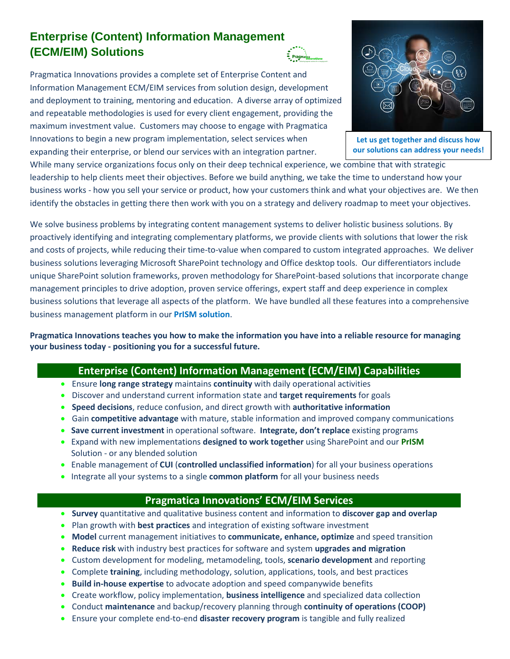## **Enterprise (Content) Information Management (ECM/EIM) Solutions**

Pragmatica Innovations provides a complete set of Enterprise Content and Information Management ECM/EIM services from solution design, development and deployment to training, mentoring and education. A diverse array of optimized and repeatable methodologies is used for every client engagement, providing the maximum investment value. Customers may choose to engage with Pragmatica Innovations to begin a new program implementation, select services when expanding their enterprise, or blend our services with an integration partner.

While many service organizations focus only on their deep technical experience, we combine that with strategic leadership to help clients meet their objectives. Before we build anything, we take the time to understand how your business works - how you sell your service or product, how your customers think and what your objectives are. We then identify the obstacles in getting there then work with you on a strategy and delivery roadmap to meet your objectives.

We solve business problems by integrating content management systems to deliver holistic business solutions. By proactively identifying and integrating complementary platforms, we provide clients with solutions that lower the risk and costs of projects, while reducing their time-to-value when compared to custom integrated approaches. We deliver business solutions leveraging Microsoft SharePoint technology and Office desktop tools. Our differentiators include unique SharePoint solution frameworks, proven methodology for SharePoint-based solutions that incorporate change management principles to drive adoption, proven service offerings, expert staff and deep experience in complex business solutions that leverage all aspects of the platform. We have bundled all these features into a comprehensive business management platform in our **PrISM solution**.

**Pragmatica Innovations teaches you how to make the information you have into a reliable resource for managing your business today - positioning you for a successful future.**

## **Enterprise (Content) Information Management (ECM/EIM) Capabilities**

- Ensure **long range strategy** maintains **continuity** with daily operational activities
- Discover and understand current information state and **target requirements** for goals
- **Speed decisions**, reduce confusion, and direct growth with **authoritative information**
- Gain **competitive advantage** with mature, stable information and improved company communications
- **Save current investment** in operational software. **Integrate, don't replace** existing programs
- Expand with new implementations **designed to work together** using SharePoint and our **PrISM**  Solution - or any blended solution
- Enable management of **CUI** (**controlled unclassified information**) for all your business operations
- Integrate all your systems to a single **common platform** for all your business needs

## **Pragmatica Innovations' ECM/EIM Services**

- **Survey** quantitative and qualitative business content and information to **discover gap and overlap**
- Plan growth with **best practices** and integration of existing software investment
- **Model** current management initiatives to **communicate, enhance, optimize** and speed transition
- **Reduce risk** with industry best practices for software and system **upgrades and migration**
- Custom development for modeling, metamodeling, tools, **scenario development** and reporting
- Complete **training**, including methodology, solution, applications, tools, and best practices
- **Build in-house expertise** to advocate adoption and speed companywide benefits
- Create workflow, policy implementation, **business intelligence** and specialized data collection
- Conduct **maintenance** and backup/recovery planning through **continuity of operations (COOP)**
- Ensure your complete end-to-end **disaster recovery program** is tangible and fully realized



**Let us get together and discuss how our solutions can address your needs!**